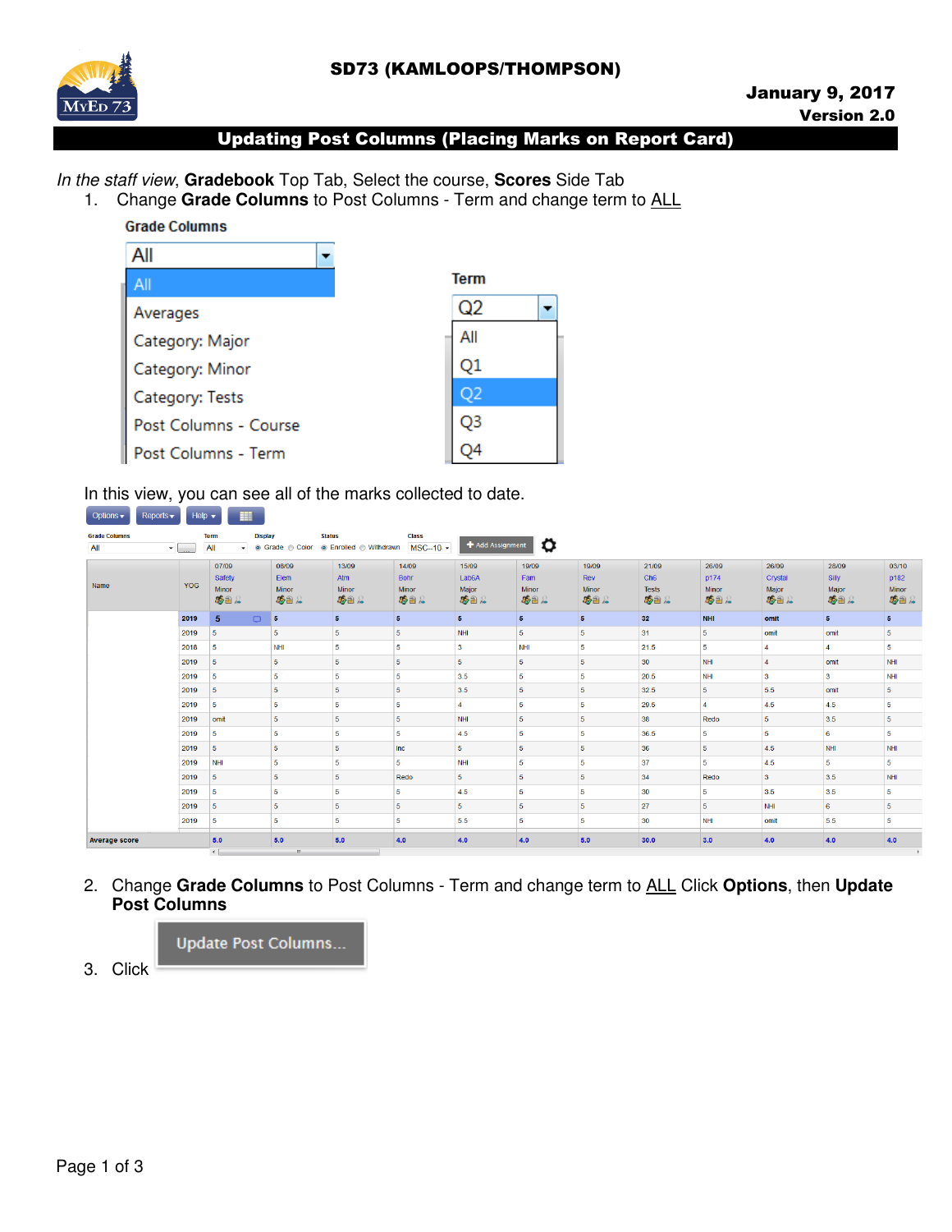# SD73 (KAMLOOPS/THOMPSON)



# Updating Post Columns (Placing Marks on Report Card)

In the staff view, **Gradebook** Top Tab, Select the course, **Scores** Side Tab

1. Change **Grade Columns** to Post Columns - Term and change term to ALL

**Grade Columns** 

| All                   |         |
|-----------------------|---------|
| All                   | Term    |
| Averages              | Q2<br>▼ |
| Category: Major       | All     |
| Category: Minor       | Ο1      |
| Category: Tests       |         |
| Post Columns - Course | O3      |
| Post Columns - Term   |         |

In this view, you can see all of the marks collected to date.

| <b>Grade Columns</b><br>All | $\blacktriangledown$ | <b>Term</b><br><b>All</b> | <b>Display</b> | <b>Status</b><br>• © Grade © Color | ● Enrolled ● Withdrawn  | <b>Class</b><br>$MSC-10.$ $\sim$ | + Add Assignment   | ۰              |                |                 |                |                |                |          |
|-----------------------------|----------------------|---------------------------|----------------|------------------------------------|-------------------------|----------------------------------|--------------------|----------------|----------------|-----------------|----------------|----------------|----------------|----------|
|                             |                      | 07/09                     |                | 08/09                              | 13/09                   | 14/09                            | 15/09              | 19/09          | 19/09          | 21/09           | 26/09          | 26/09          | 28/09          | 03/10    |
|                             |                      | Safety                    |                | Elem                               | Atm                     | Bohr                             | Lab <sub>6</sub> A | Fam            | Rev            | Ch <sub>6</sub> | <b>p174</b>    | Crystal        | Silly          | p182     |
| Name                        | <b>YOG</b>           | <b>Minor</b>              |                | Minor                              | <b>Minor</b>            | Minor                            | Major              | Minor          | <b>Minor</b>   | <b>Tests</b>    | <b>Minor</b>   | Major          | Major          | Minor    |
|                             |                      | 受言人                       |                | 委旨意                                | 移合人                     | 受言意                              | 安全人                | 受合え            | 受乱人            | 委旨              | 发音人            | 安全人            | 受言人            | 卷曲点      |
|                             | 2019                 | 5                         | $\Box$         | 5                                  | 5 <sup>5</sup>          | 5 <sup>5</sup>                   | $\overline{5}$     | 5 <sup>1</sup> | 5 <sup>5</sup> | 32              | <b>NHI</b>     | omit           | 5 <sup>5</sup> | 5        |
|                             | 2019                 | 5                         |                | 5                                  | 5                       | 5                                | <b>NHI</b>         | 5              | 5              | 31              | 5              | omit           | omit           | 5        |
|                             | 2018                 | 5                         |                | NHI                                | 5                       | 5                                | 3                  | <b>NHI</b>     | 5              | 21.5            | 5              | $\Delta$       | $\overline{4}$ | 5        |
|                             | 2019                 | 5                         |                | 5                                  | 5                       | 5                                | 5                  | 5 <sup>1</sup> | 5              | 30              | NHI            | $\overline{4}$ | omit           | NHI      |
|                             | 2019                 | 5                         |                | 5                                  | 5                       | 5                                | 3.5                | 5              | 5              | 20.5            | NHI            | 3              | 3              | NHI      |
|                             | 2019                 | 5                         |                | 5                                  | 5                       | 5                                | 3.5                | 5              | 5              | 32.5            | 5              | 5.5            | omit           | 5        |
|                             | 2019                 | 5                         |                | 5                                  | 5.                      | 5                                | $\overline{a}$     | 5              | 5              | 29.5            | $\overline{a}$ | 4.5            | 4.5            | 5        |
|                             | 2019                 | omit                      |                | $\overline{\mathbf{5}}$            | $\overline{\mathbf{5}}$ | 5                                | <b>NHI</b>         | 5              | 5              | 38              | Redo           | 5              | 3.5            | 5        |
|                             | 2019                 | 5                         |                | 5                                  | 5                       | 5                                | 4.5                | 5              | 5              | 36.5            | 5              | 5              | 6              | 5        |
|                             | 2019                 | 5                         |                | 5                                  | 5                       | Inc                              | 5                  | 5              | 5              | 36              | 5              | 4.5            | NHI            | NHI      |
|                             | 2019                 | NHI                       |                | 5                                  | 5                       | 5                                | <b>NHI</b>         | 5              | 5              | 37              | 5              | 4.5            | 5              | 5        |
|                             | 2019                 | 5                         |                | 5                                  | 5                       | Redo                             | 5                  | 5              | 5              | 34              | Redo           | $\mathbf{3}$   | 3.5            | NHI      |
|                             | 2019                 | 5                         |                | 5                                  | 5                       | 5                                | 4.5                | 5              | 5              | 30              | 5              | 3.5            | 3.5            | 5        |
|                             | 2019                 | 5                         |                | 5 <sup>5</sup>                     | 5                       | 5                                | 5                  | 5              | 5              | 27              | 5              | NHI            | 6              | 5        |
|                             | 2019                 | 5                         |                | 5                                  | 5                       | 5                                | 5.5                | 5              | 5              | 30              | NHI            | omit           | 5.5            | 5        |
| <b>Average score</b>        |                      | 5.0                       |                | 5.0                                | 5.0                     | 4.0                              | 4.0                | 4.0            | 5.0            | 30.0            | 3.0            | 4.0            | 4.0            | 4.0      |
|                             |                      | $\leftarrow$              |                | m.                                 |                         |                                  |                    |                |                |                 |                |                |                | <b>B</b> |

2. Change **Grade Columns** to Post Columns - Term and change term to ALL Click **Options**, then **Update Post Columns**



3. Click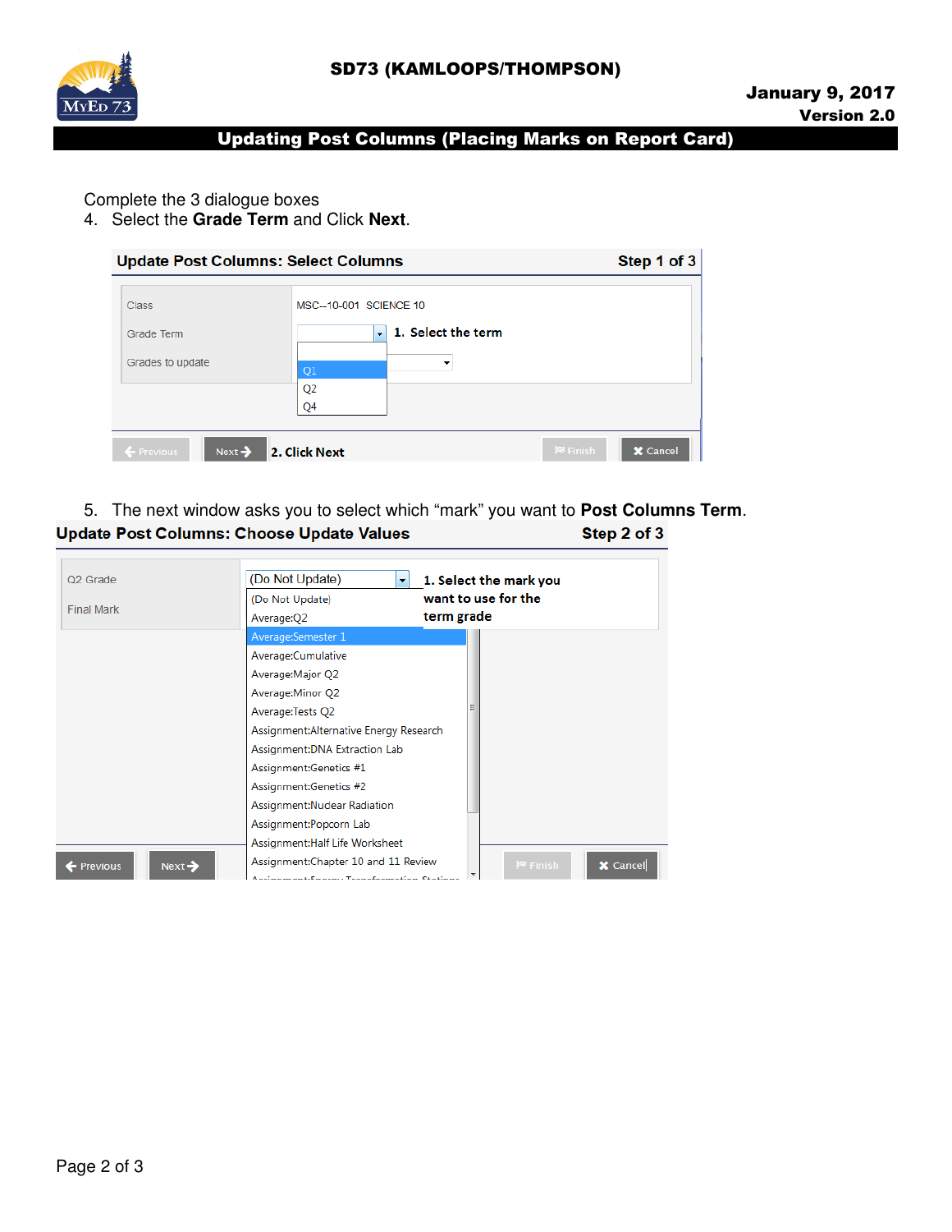

## Updating Post Columns (Placing Marks on Report Card)

Complete the 3 dialogue boxes

4. Select the **Grade Term** and Click **Next**.

|                                            | <b>Update Post Columns: Select Columns</b>     | Step 1 of 3                     |
|--------------------------------------------|------------------------------------------------|---------------------------------|
| <b>Class</b>                               | MSC--10-001 SCIENCE 10                         |                                 |
| Grade Term                                 | 1. Select the term<br>$\overline{\phantom{a}}$ |                                 |
| Grades to update                           | ▼<br>Q <sub>1</sub>                            |                                 |
|                                            | Q <sub>2</sub>                                 |                                 |
|                                            | Q4                                             |                                 |
| Next <sup>2</sup><br>$\leftarrow$ Previous | 2. Click Next                                  | $P^3$ Finish<br><b>X</b> Cancel |

#### 5. The next window asks you to select which "mark" you want to **Post Columns Term**. **Update Post Columns: Choose Update Values** Step 2 of 3

| Average:Semester 1<br>Average:Cumulative<br>Average: Major Q2<br>Average: Minor Q2<br>Average:Tests Q2<br>Assignment: Alternative Energy Research<br>Assignment: DNA Extraction Lab<br>Assignment:Genetics #1<br>Assignment:Genetics #2<br>Assignment:Nuclear Radiation<br>Assignment:Popcorn Lab<br>Assignment: Half Life Worksheet | Q <sub>2</sub> Grade<br><b>Final Mark</b> | (Do Not Update)<br>$\blacktriangledown$<br>(Do Not Update)<br>Average:Q2 | 1. Select the mark you<br>want to use for the<br>term grade |
|--------------------------------------------------------------------------------------------------------------------------------------------------------------------------------------------------------------------------------------------------------------------------------------------------------------------------------------|-------------------------------------------|--------------------------------------------------------------------------|-------------------------------------------------------------|
| X Cancel<br>$P^3$ Finish<br>Next <sup>2</sup><br><b>Previous</b>                                                                                                                                                                                                                                                                     |                                           | Assignment: Chapter 10 and 11 Review                                     |                                                             |